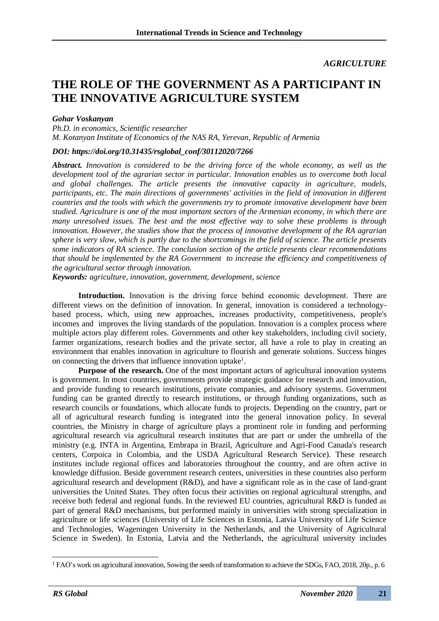## *AGRICULTURE*

# **THE ROLE OF THE GOVERNMENT AS A PARTICIPANT IN THE INNOVATIVE AGRICULTURE SYSTEM**

### *Gohar Voskanyan*

*Ph.D. in economics, Scientific researcher M. Kotanyan Institute of Economics of the NAS RA, Yerevan, Republic of Armenia*

### *DOI: https://doi.org/10.31435/rsglobal\_conf/30112020/7266*

*Abstract. Innovation is considered to be the driving force of the whole economy, as well as the development tool of the agrarian sector in particular. Innovation enables us to overcome both local and global challenges. The article presents the innovative capacity in agriculture, models, participants, etc. The main directions of governments' activities in the field of innovation in different countries and the tools with which the governments try to promote innovative development have been studied. Agriculture is one of the most important sectors of the Armenian economy, in which there are many unresolved issues. The best and the most effective way to solve these problems is through innovation. However, the studies show that the process of innovative development of the RA agrarian sphere is very slow, which is partly due to the shortcomings in the field of science. The article presents some indicators of RA science. The conclusion section of the article presents clear recommendations that should be implemented by the RA Government to increase the efficiency and competitiveness of the agricultural sector through innovation.* 

*Keywords: agriculture, innovation, government, development, science*

**Introduction.** Innovation is the driving force behind economic development․ There are different views on the definition of innovation. In general, innovation is considered a technologybased process, which, using new approaches, increases productivity, competitiveness, people's incomes and improves the living standards of the population. Innovation is a complex process where multiple actors play different roles. Governments and other key stakeholders, including civil society, farmer organizations, research bodies and the private sector, all have a role to play in creating an environment that enables innovation in agriculture to flourish and generate solutions. Success hinges on connecting the drivers that influence innovation uptake<sup>1</sup>.

**Purpose of the research.** One of the most important actors of agricultural innovation systems is government. In most countries, governments provide strategic guidance for research and innovation, and provide funding to research institutions, private companies, and advisory systems. Government funding can be granted directly to research institutions, or through funding organizations, such as research councils or foundations, which allocate funds to projects. Depending on the country, part or all of agricultural research funding is integrated into the general innovation policy. In several countries, the Ministry in charge of agriculture plays a prominent role in funding and performing agricultural research via agricultural research institutes that are part or under the umbrella of the ministry (e.g. INTA in Argentina, Embrapa in Brazil, Agriculture and Agri-Food Canada's research centers, Corpoica in Colombia, and the USDA Agricultural Research Service). These research institutes include regional offices and laboratories throughout the country, and are often active in knowledge diffusion. Beside government research centers, universities in these countries also perform agricultural research and development (R&D), and have a significant role as in the case of land-grant universities the United States. They often focus their activities on regional agricultural strengths, and receive both federal and regional funds. In the reviewed EU countries, agricultural R&D is funded as part of general R&D mechanisms, but performed mainly in universities with strong specialization in agriculture or life sciences (University of Life Sciences in Estonia, Latvia University of Life Science and Technologies, Wageningen University in the Netherlands, and the University of Agricultural Science in Sweden). In Estonia, Latvia and the Netherlands, the agricultural university includes

<sup>&</sup>lt;sup>1</sup> FAO's work on agricultural innovation, Sowing the seeds of transformation to achieve the SDGs, FAO, 2018, 20p., p. 6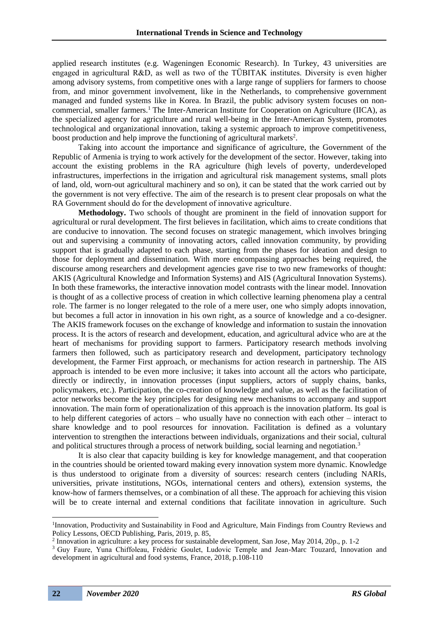applied research institutes (e.g. Wageningen Economic Research). In Turkey, 43 universities are engaged in agricultural R&D, as well as two of the TÜBITAK institutes. Diversity is even higher among advisory systems, from competitive ones with a large range of suppliers for farmers to choose from, and minor government involvement, like in the Netherlands, to comprehensive government managed and funded systems like in Korea. In Brazil, the public advisory system focuses on noncommercial, smaller farmers.<sup>1</sup> The Inter-American Institute for Cooperation on Agriculture (IICA), as the specialized agency for agriculture and rural well-being in the Inter-American System, promotes technological and organizational innovation, taking a systemic approach to improve competitiveness, boost production and help improve the functioning of agricultural markets<sup>2</sup>.

Taking into account the importance and significance of agriculture, the Government of the Republic of Armenia is trying to work actively for the development of the sector. However, taking into account the existing problems in the RA agriculture (high levels of poverty, underdeveloped infrastructures, imperfections in the irrigation and agricultural risk management systems, small plots of land, old, worn-out agricultural machinery and so on), it can be stated that the work carried out by the government is not very effective. The aim of the research is to present clear proposals on what the RA Government should do for the development of innovative agriculture.

**Methodology.** Two schools of thought are prominent in the field of innovation support for agricultural or rural development. The first believes in facilitation, which aims to create conditions that are conducive to innovation. The second focuses on strategic management, which involves bringing out and supervising a community of innovating actors, called innovation community, by providing support that is gradually adapted to each phase, starting from the phases for ideation and design to those for deployment and dissemination. With more encompassing approaches being required, the discourse among researchers and development agencies gave rise to two new frameworks of thought: AKIS (Agricultural Knowledge and Information Systems) and AIS (Agricultural Innovation Systems). In both these frameworks, the interactive innovation model contrasts with the linear model. Innovation is thought of as a collective process of creation in which collective learning phenomena play a central role. The farmer is no longer relegated to the role of a mere user, one who simply adopts innovation, but becomes a full actor in innovation in his own right, as a source of knowledge and a co-designer. The AKIS framework focuses on the exchange of knowledge and information to sustain the innovation process. It is the actors of research and development, education, and agricultural advice who are at the heart of mechanisms for providing support to farmers. Participatory research methods involving farmers then followed, such as participatory research and development, participatory technology development, the Farmer First approach, or mechanisms for action research in partnership. The AIS approach is intended to be even more inclusive; it takes into account all the actors who participate, directly or indirectly, in innovation processes (input suppliers, actors of supply chains, banks, policymakers, etc.). Participation, the co-creation of knowledge and value, as well as the facilitation of actor networks become the key principles for designing new mechanisms to accompany and support innovation. The main form of operationalization of this approach is the innovation platform. Its goal is to help different categories of actors – who usually have no connection with each other – interact to share knowledge and to pool resources for innovation. Facilitation is defined as a voluntary intervention to strengthen the interactions between individuals, organizations and their social, cultural and political structures through a process of network building, social learning and negotiation.<sup>3</sup>

It is also clear that capacity building is key for knowledge management, and that cooperation in the countries should be oriented toward making every innovation system more dynamic. Knowledge is thus understood to originate from a diversity of sources: research centers (including NARIs, universities, private institutions, NGOs, international centers and others), extension systems, the know-how of farmers themselves, or a combination of all these. The approach for achieving this vision will be to create internal and external conditions that facilitate innovation in agriculture. Such

<sup>&</sup>lt;sup>1</sup>Innovation, Productivity and Sustainability in Food and Agriculture, Main Findings from Country Reviews and Policy Lessons, OECD Publishing, Paris, 2019, p. 85,

<sup>&</sup>lt;sup>2</sup> Innovation in agriculture: a key process for sustainable development, San Jose, May 2014, 20p., p. 1-2

<sup>&</sup>lt;sup>3</sup> Guy Faure, Yuna Chiffoleau, Frédéric Goulet, Ludovic Temple and Jean-Marc Touzard, Innovation and development in agricultural and food systems, France, 2018, p.108-110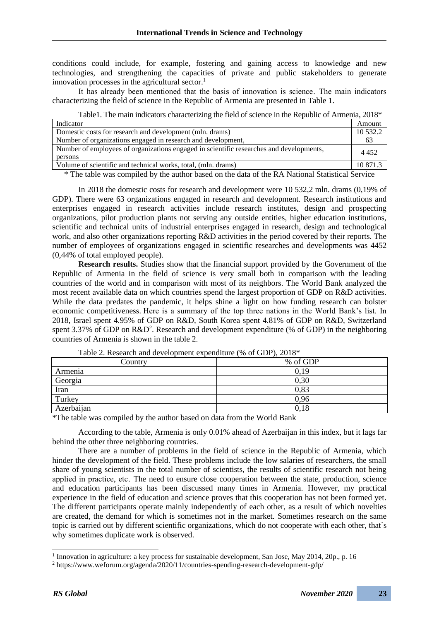conditions could include, for example, fostering and gaining access to knowledge and new technologies, and strengthening the capacities of private and public stakeholders to generate innovation processes in the agricultural sector.<sup>1</sup>

It has already been mentioned that the basis of innovation is science․ The main indicators characterizing the field of science in the Republic of Armenia are presented in Table 1.

Table1. The main indicators characterizing the field of science in the Republic of Armenia, 2018\*

| Indicator                                                                                          | Amount   |
|----------------------------------------------------------------------------------------------------|----------|
| Domestic costs for research and development (mln. drams)                                           | 10 532.2 |
| Number of organizations engaged in research and development,                                       | 63       |
| Number of employees of organizations engaged in scientific researches and developments,<br>persons | 4 4 5 2  |
| Volume of scientific and technical works, total, (mln. drams)                                      | 10 871.3 |

\* The table was compiled by the author based on the data of the RA National Statistical Service

In 2018 the domestic costs for research and development were 10 532,2 mln. drams (0,19% of GDP). There were 63 organizations engaged in research and development. Research institutions and enterprises engaged in research activities include research institutes, design and prospecting organizations, pilot production plants not serving any outside entities, higher education institutions, scientific and technical units of industrial enterprises engaged in research, design and technological work, and also other organizations reporting R&D activities in the period covered by their reports. The number of employees of organizations engaged in scientific researches and developments was 4452 (0,44% of total employed people).

**Research results.** Studies show that the financial support provided by the Government of the Republic of Armenia in the field of science is very small both in comparison with the leading countries of the world and in comparison with most of its neighbors. The World Bank analyzed the most recent available data on which countries spend the largest proportion of GDP on R&D activities. While the data predates the pandemic, it helps shine a light on how funding research can bolster economic competitiveness. Here is a summary of the top three nations in the World Bank's list. In 2018, Israel spent 4.95% of GDP on R&D, South Korea spent 4.81% of GDP on R&D, Switzerland spent 3.37% of GDP on  $R&D^2$ . Research and development expenditure (% of GDP) in the neighboring countries of Armenia is shown in the table 2.

| Country    | % of GDP |
|------------|----------|
| Armenia    | 0,19     |
| Georgia    | 0,30     |
| Iran       | 0,83     |
| Turkey     | 0.96     |
| Azerbaijan | 0.18     |

Table 2. Research and development expenditure (% of GDP), 2018\*

\*The table was compiled by the author based on data from the World Bank

According to the table, Armenia is only 0.01% ahead of Azerbaijan in this index, but it lags far behind the other three neighboring countries.

There are a number of problems in the field of science in the Republic of Armenia, which hinder the development of the field. These problems include the low salaries of researchers, the small share of young scientists in the total number of scientists, the results of scientific research not being applied in practice, etc․ The need to ensure close cooperation between the state, production, science and education participants has been discussed many times in Armenia. However, my practical experience in the field of education and science proves that this cooperation has not been formed yet. The different participants operate mainly independently of each other, as a result of which novelties are created, the demand for which is sometimes not in the market. Sometimes research on the same topic is carried out by different scientific organizations, which do not cooperate with each other, that`s why sometimes duplicate work is observed.

<sup>&</sup>lt;sup>1</sup> Innovation in agriculture: a key process for sustainable development, San Jose, May 2014, 20p., p. 16

<sup>2</sup> https://www.weforum.org/agenda/2020/11/countries-spending-research-development-gdp/